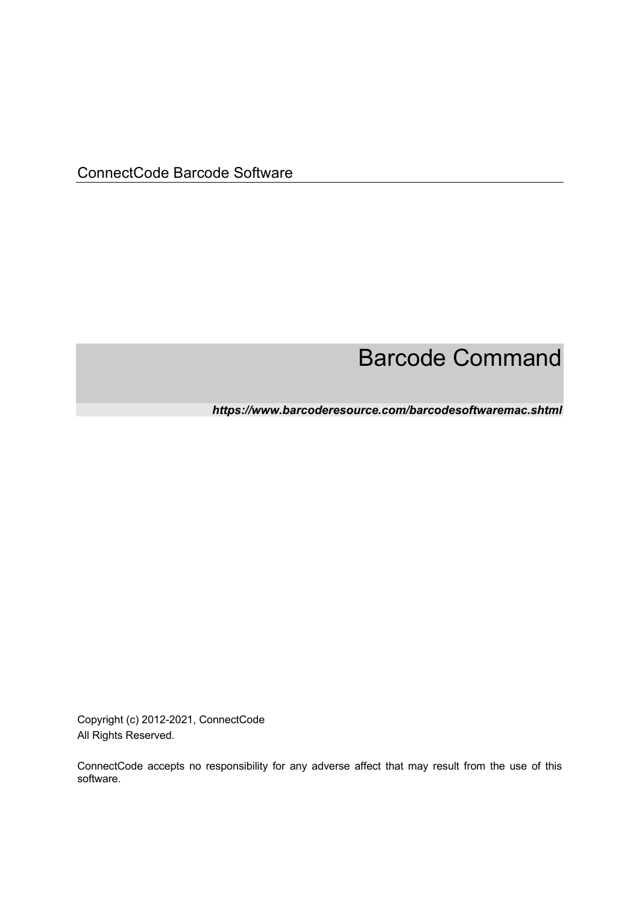ConnectCode Barcode Software

# Barcode Command

*https://www.barcoderesource.com/barcodesoftwaremac.shtml* 

Copyright (c) 2012-2021, ConnectCode All Rights Reserved.

ConnectCode accepts no responsibility for any adverse affect that may result from the use of this software.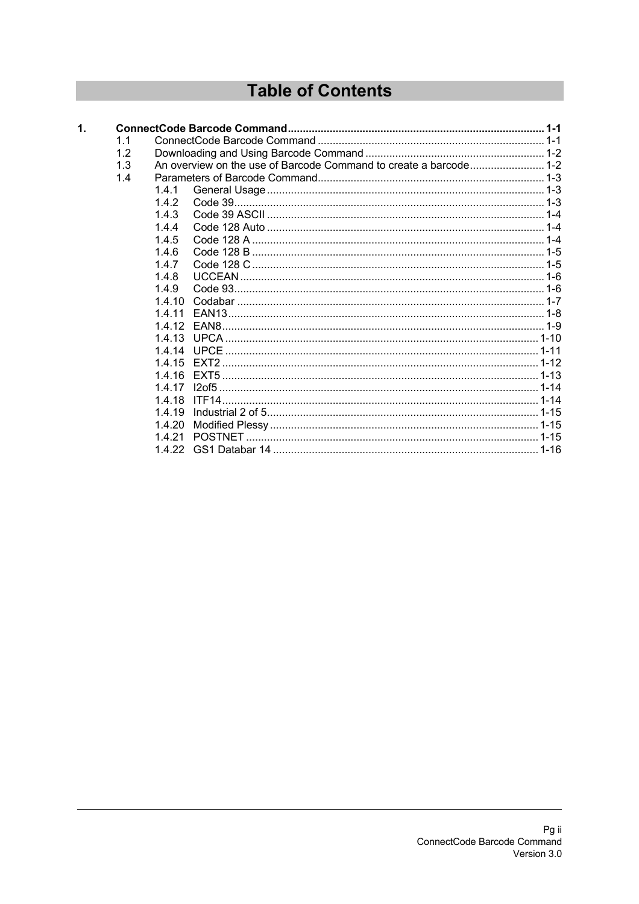## **Table of Contents**

| $\mathbf{1}$ . |     |        |                                                                   |  |
|----------------|-----|--------|-------------------------------------------------------------------|--|
|                | 1.1 |        |                                                                   |  |
|                | 1.2 |        |                                                                   |  |
|                | 1.3 |        | An overview on the use of Barcode Command to create a barcode 1-2 |  |
|                | 1.4 |        |                                                                   |  |
|                |     | 1.4.1  |                                                                   |  |
|                |     | 1.4.2  |                                                                   |  |
|                |     | 143    |                                                                   |  |
|                |     | 1.4.4  |                                                                   |  |
|                |     | 1.4.5  |                                                                   |  |
|                |     | 1.4.6  |                                                                   |  |
|                |     | 147    |                                                                   |  |
|                |     | 1.4.8  |                                                                   |  |
|                |     | 1.4.9  |                                                                   |  |
|                |     | 14 10  |                                                                   |  |
|                |     | 1411   |                                                                   |  |
|                |     | 1412   |                                                                   |  |
|                |     | 1413   |                                                                   |  |
|                |     | 1414   |                                                                   |  |
|                |     | 14 15  |                                                                   |  |
|                |     | 1416   |                                                                   |  |
|                |     | 1417   |                                                                   |  |
|                |     | 1418   | ITF14                                                             |  |
|                |     | 14 19  |                                                                   |  |
|                |     | 1.4.20 |                                                                   |  |
|                |     | 1421   |                                                                   |  |
|                |     |        |                                                                   |  |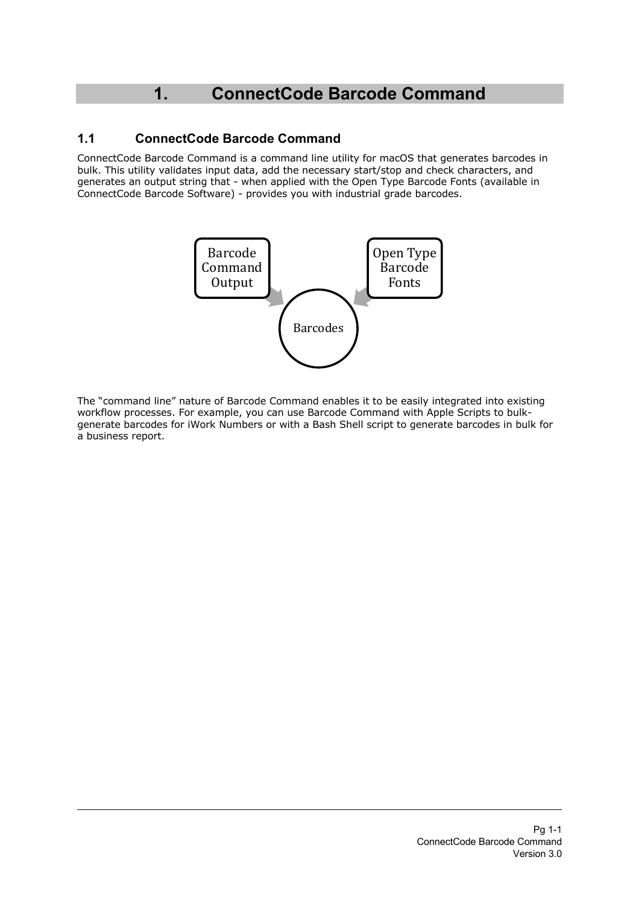## **1. ConnectCode Barcode Command**

## **1.1 ConnectCode Barcode Command**

ConnectCode Barcode Command is a command line utility for macOS that generates barcodes in bulk. This utility validates input data, add the necessary start/stop and check characters, and generates an output string that - when applied with the Open Type Barcode Fonts (available in ConnectCode Barcode Software) - provides you with industrial grade barcodes.



The "command line" nature of Barcode Command enables it to be easily integrated into existing workflow processes. For example, you can use Barcode Command with Apple Scripts to bulkgenerate barcodes for iWork Numbers or with a Bash Shell script to generate barcodes in bulk for a business report.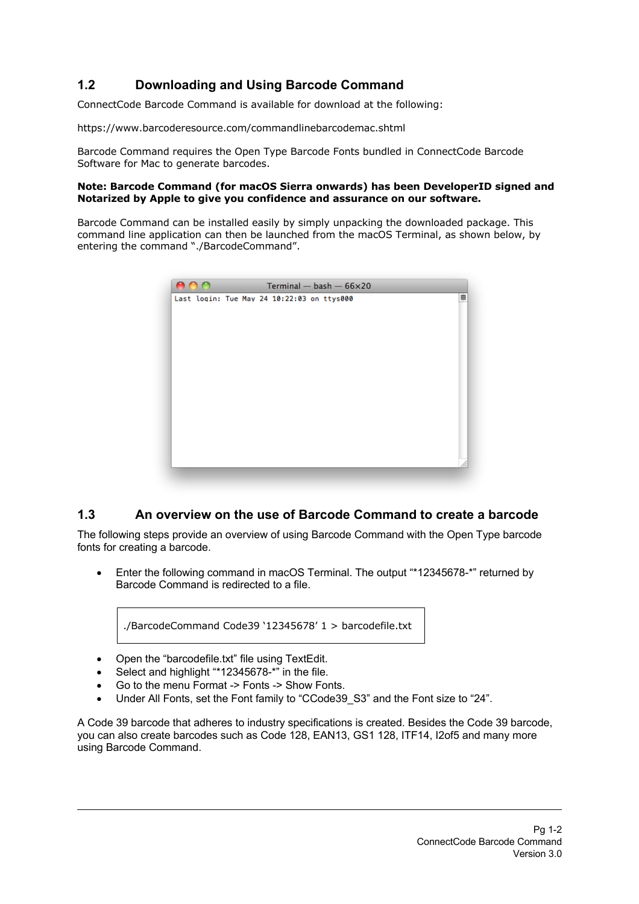## **1.2 Downloading and Using Barcode Command**

ConnectCode Barcode Command is available for download at the following:

https://www.barcoderesource.com/commandlinebarcodemac.shtml

Barcode Command requires the Open Type Barcode Fonts bundled in ConnectCode Barcode Software for Mac to generate barcodes.

#### **Note: Barcode Command (for macOS Sierra onwards) has been DeveloperID signed and Notarized by Apple to give you confidence and assurance on our software.**

Barcode Command can be installed easily by simply unpacking the downloaded package. This command line application can then be launched from the macOS Terminal, as shown below, by entering the command "./BarcodeCommand".

| 000 | Terminal $-$ bash $-66\times20$            |   |
|-----|--------------------------------------------|---|
|     | Last login: Tue May 24 10:22:03 on ttys000 | ₿ |
|     |                                            |   |
|     |                                            |   |
|     |                                            |   |
|     |                                            |   |
|     |                                            |   |
|     |                                            |   |
|     |                                            |   |
|     |                                            |   |
|     |                                            |   |
|     |                                            |   |
|     |                                            |   |
|     |                                            |   |
|     |                                            |   |
|     |                                            |   |
|     |                                            |   |
|     |                                            |   |

## **1.3 An overview on the use of Barcode Command to create a barcode**

The following steps provide an overview of using Barcode Command with the Open Type barcode fonts for creating a barcode.

• Enter the following command in macOS Terminal. The output "\*12345678-\*" returned by Barcode Command is redirected to a file.

./BarcodeCommand Code39 '12345678' 1 > barcodefile.txt

- Open the "barcodefile.txt" file using TextEdit.
- Select and highlight "\*12345678-\*" in the file.
- Go to the menu Format -> Fonts -> Show Fonts.
- Under All Fonts, set the Font family to "CCode39 S3" and the Font size to "24".

A Code 39 barcode that adheres to industry specifications is created. Besides the Code 39 barcode, you can also create barcodes such as Code 128, EAN13, GS1 128, ITF14, I2of5 and many more using Barcode Command.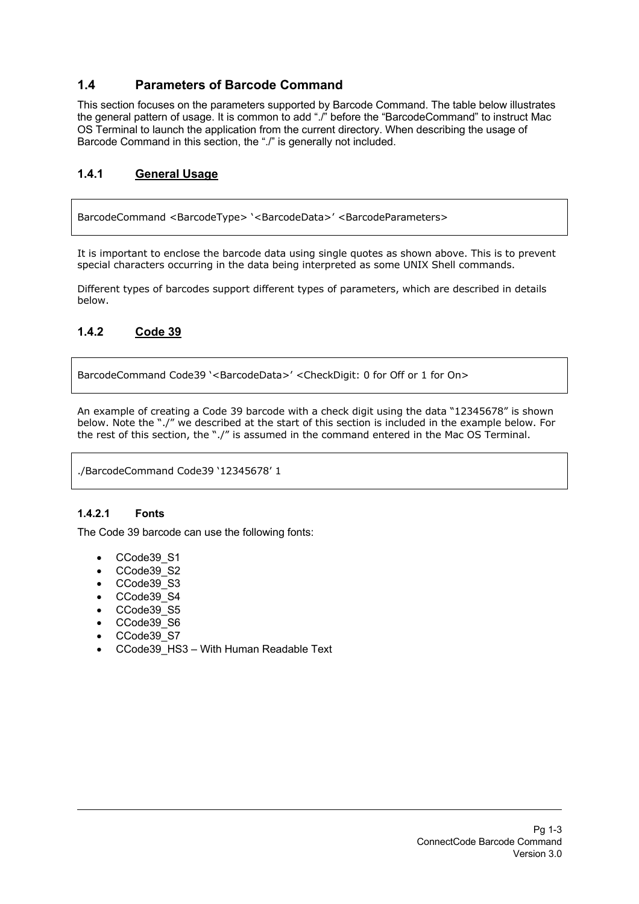## **1.4 Parameters of Barcode Command**

This section focuses on the parameters supported by Barcode Command. The table below illustrates the general pattern of usage. It is common to add "./" before the "BarcodeCommand" to instruct Mac OS Terminal to launch the application from the current directory. When describing the usage of Barcode Command in this section, the "./" is generally not included.

## **1.4.1 General Usage**

BarcodeCommand <BarcodeType> '<BarcodeData>' <BarcodeParameters>

It is important to enclose the barcode data using single quotes as shown above. This is to prevent special characters occurring in the data being interpreted as some UNIX Shell commands.

Different types of barcodes support different types of parameters, which are described in details below.

## **1.4.2 Code 39**

BarcodeCommand Code39 '<BarcodeData>' <CheckDigit: 0 for Off or 1 for On>

An example of creating a Code 39 barcode with a check digit using the data "12345678" is shown below. Note the "./" we described at the start of this section is included in the example below. For the rest of this section, the "./" is assumed in the command entered in the Mac OS Terminal.

./BarcodeCommand Code39 '12345678' 1

#### **1.4.2.1 Fonts**

The Code 39 barcode can use the following fonts:

- CCode39\_S1
- CCode39 S2
- CCode39\_S3
- CCode39\_S4
- CCode39\_S5
- CCode39 S6
- CCode39 S7
- CCode39\_HS3 With Human Readable Text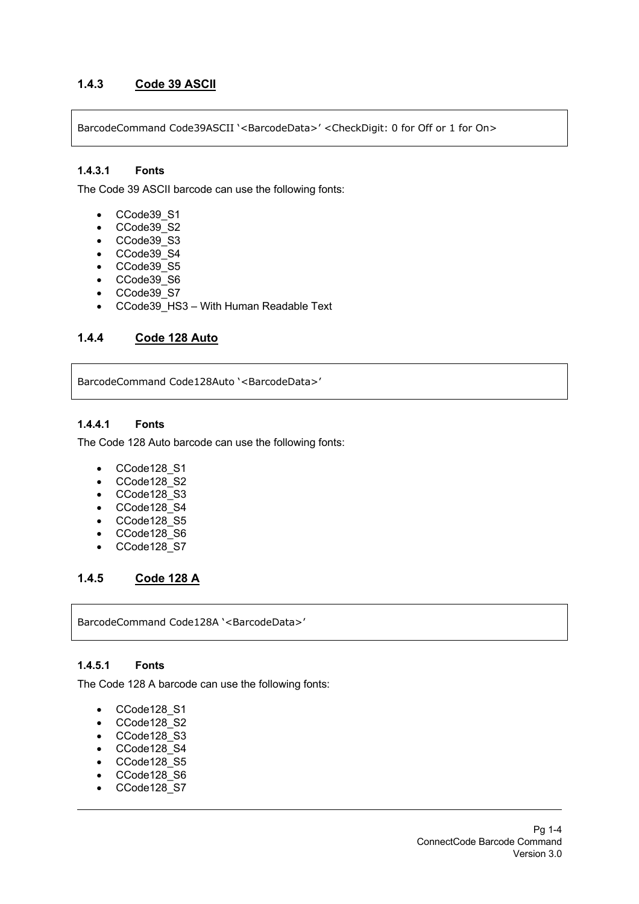## **1.4.3 Code 39 ASCII**

BarcodeCommand Code39ASCII '<BarcodeData>' <CheckDigit: 0 for Off or 1 for On>

#### **1.4.3.1 Fonts**

The Code 39 ASCII barcode can use the following fonts:

- CCode39\_S1
- CCode39\_S2
- CCode39\_S3
- CCode39\_S4
- CCode39\_S5
- CCode39 S6
- CCode39\_S7
- CCode39 HS3 With Human Readable Text

## **1.4.4 Code 128 Auto**

BarcodeCommand Code128Auto '<BarcodeData>'

#### **1.4.4.1 Fonts**

The Code 128 Auto barcode can use the following fonts:

- CCode128\_S1
- CCode128\_S2
- CCode128\_S3
- CCode128\_S4
- CCode128\_S5
- CCode128\_S6
- CCode128\_S7

#### **1.4.5 Code 128 A**

BarcodeCommand Code128A '<BarcodeData>'

#### **1.4.5.1 Fonts**

The Code 128 A barcode can use the following fonts:

- CCode128\_S1
- CCode128\_S2
- CCode128\_S3
- CCode128\_S4
- CCode128\_S5
- CCode128\_S6
- CCode128\_S7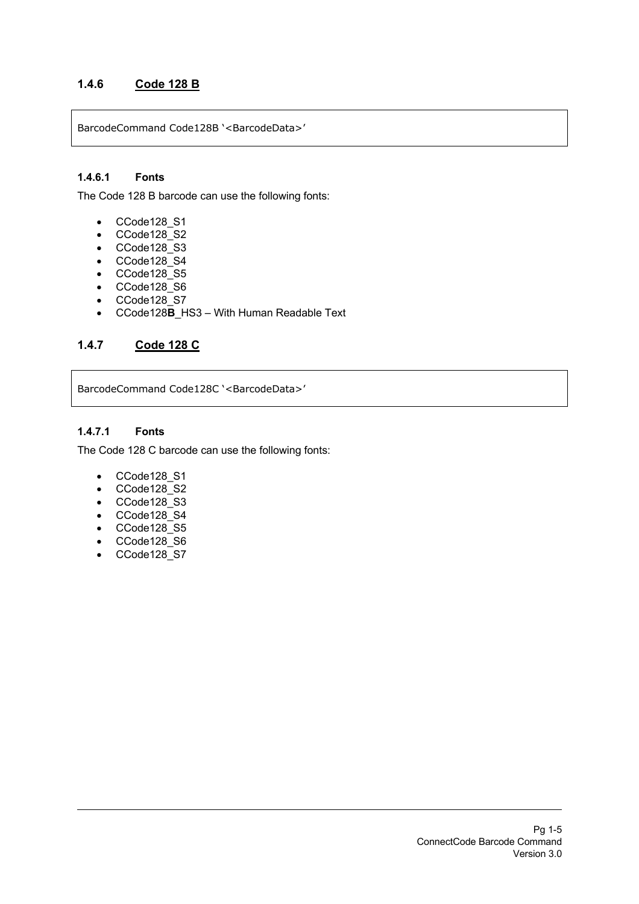## **1.4.6 Code 128 B**

BarcodeCommand Code128B '<BarcodeData>'

#### **1.4.6.1 Fonts**

The Code 128 B barcode can use the following fonts:

- CCode128\_S1
- CCode128\_S2
- CCode128\_S3
- CCode128\_S4
- CCode128\_S5
- CCode128\_S6
- CCode128\_S7
- CCode128**B**\_HS3 With Human Readable Text

## **1.4.7 Code 128 C**

BarcodeCommand Code128C '<BarcodeData>'

#### **1.4.7.1 Fonts**

The Code 128 C barcode can use the following fonts:

- CCode128\_S1
- CCode128\_S2
- CCode128\_S3
- CCode128\_S4
- CCode128\_S5
- CCode128\_S6
- CCode128\_S7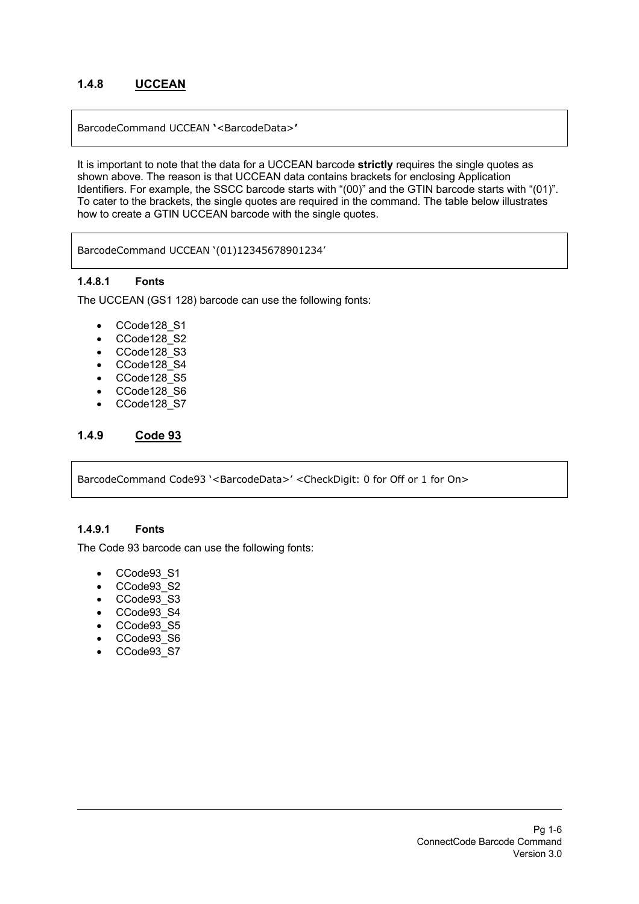## **1.4.8 UCCEAN**

BarcodeCommand UCCEAN **'**<BarcodeData>**'**

It is important to note that the data for a UCCEAN barcode **strictly** requires the single quotes as shown above. The reason is that UCCEAN data contains brackets for enclosing Application Identifiers. For example, the SSCC barcode starts with "(00)" and the GTIN barcode starts with "(01)". To cater to the brackets, the single quotes are required in the command. The table below illustrates how to create a GTIN UCCEAN barcode with the single quotes.

BarcodeCommand UCCEAN '(01)12345678901234'

#### **1.4.8.1 Fonts**

The UCCEAN (GS1 128) barcode can use the following fonts:

- CCode128\_S1
- CCode128\_S2
- CCode128\_S3
- CCode128\_S4
- CCode128\_S5
- CCode128\_S6
- CCode128\_S7

## **1.4.9 Code 93**

BarcodeCommand Code93 '<BarcodeData>' <CheckDigit: 0 for Off or 1 for On>

#### **1.4.9.1 Fonts**

The Code 93 barcode can use the following fonts:

- CCode93\_S1
- CCode93\_S2
- CCode93 S3
- CCode93\_S4
- CCode93\_S5
- CCode93\_S6
- CCode93\_S7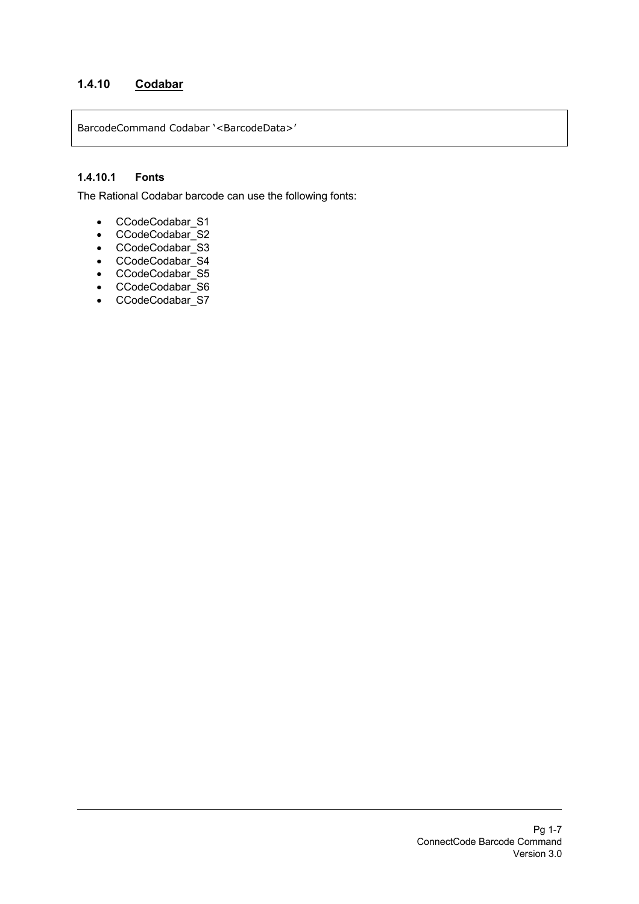## **1.4.10 Codabar**

BarcodeCommand Codabar '<BarcodeData>'

## **1.4.10.1 Fonts**

The Rational Codabar barcode can use the following fonts:

- CCodeCodabar\_S1
- CCodeCodabar\_S2
- CCodeCodabar\_S3
- CCodeCodabar\_S4
- CCodeCodabar\_S5
- CCodeCodabar\_S6
- CCodeCodabar\_S7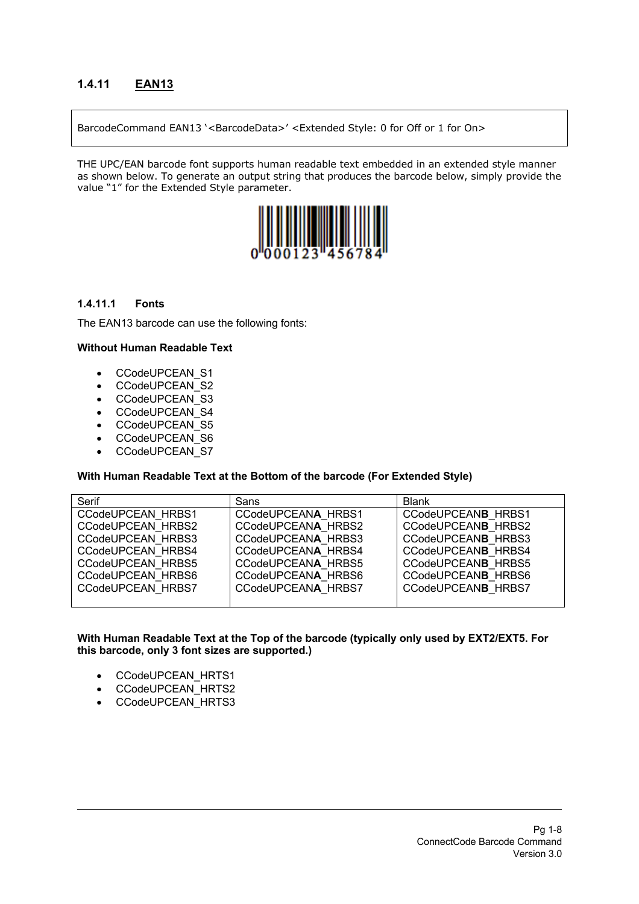## **1.4.11 EAN13**

BarcodeCommand EAN13 '<BarcodeData>' <Extended Style: 0 for Off or 1 for On>

THE UPC/EAN barcode font supports human readable text embedded in an extended style manner as shown below. To generate an output string that produces the barcode below, simply provide the value "1" for the Extended Style parameter.



#### **1.4.11.1 Fonts**

The EAN13 barcode can use the following fonts:

#### **Without Human Readable Text**

- CCodeUPCEAN\_S1
- CCodeUPCEAN\_S2
- CCodeUPCEAN\_S3
- CCodeUPCEAN\_S4
- CCodeUPCEAN\_S5
- CCodeUPCEAN\_S6
- CCodeUPCEAN\_S7

#### **With Human Readable Text at the Bottom of the barcode (For Extended Style)**

| Serif             | Sans                      | <b>Blank</b>       |
|-------------------|---------------------------|--------------------|
| CCodeUPCEAN HRBS1 | CCodeUPCEANA HRBS1        | CCodeUPCEANB HRBS1 |
| CCodeUPCEAN HRBS2 | CCodeUPCEANA HRBS2        | CCodeUPCEANB HRBS2 |
| CCodeUPCEAN HRBS3 | CCodeUPCEANA HRBS3        | CCodeUPCEANB HRBS3 |
| CCodeUPCEAN HRBS4 | CCodeUPCEANA HRBS4        | CCodeUPCEANB HRBS4 |
| CCodeUPCEAN HRBS5 | CCodeUPCEANA HRBS5        | CCodeUPCEANB HRBS5 |
| CCodeUPCEAN HRBS6 | CCodeUPCEANA HRBS6        | CCodeUPCEANB HRBS6 |
| CCodeUPCEAN HRBS7 | <b>CCodeUPCEANA HRBS7</b> | CCodeUPCEANB HRBS7 |
|                   |                           |                    |

- CCodeUPCEAN\_HRTS1
- CCodeUPCEAN\_HRTS2
- CCodeUPCEAN\_HRTS3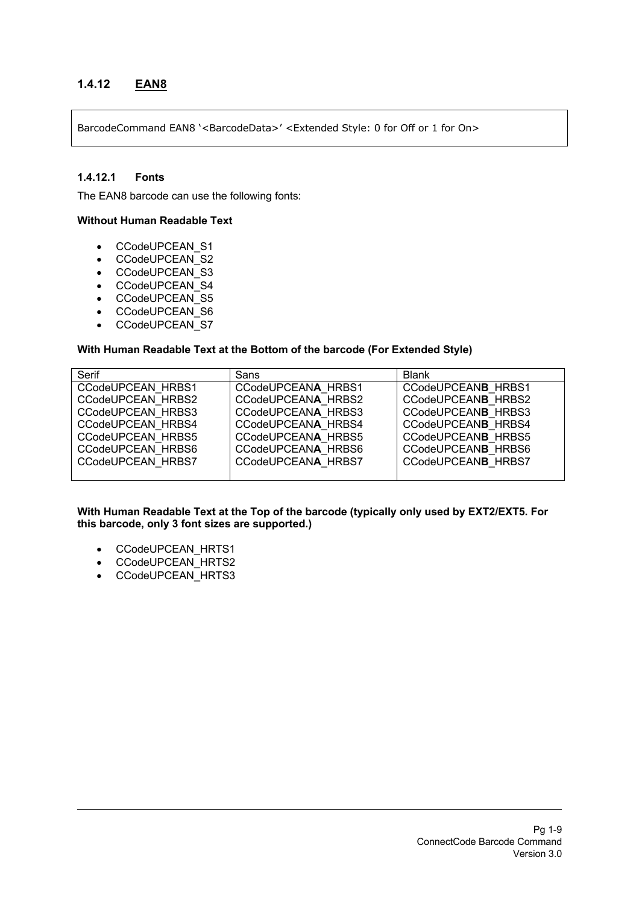## **1.4.12 EAN8**

BarcodeCommand EAN8 '<BarcodeData>' <Extended Style: 0 for Off or 1 for On>

#### **1.4.12.1 Fonts**

The EAN8 barcode can use the following fonts:

#### **Without Human Readable Text**

- CCodeUPCEAN\_S1
- CCodeUPCEAN\_S2
- CCodeUPCEAN\_S3
- CCodeUPCEAN\_S4
- CCodeUPCEAN\_S5
- CCodeUPCEAN\_S6
- CCodeUPCEAN\_S7

#### **With Human Readable Text at the Bottom of the barcode (For Extended Style)**

| Serif                    | Sans               | <b>Blank</b>              |
|--------------------------|--------------------|---------------------------|
| CCodeUPCEAN HRBS1        | CCodeUPCEANA HRBS1 | CCodeUPCEANB HRBS1        |
| CCodeUPCEAN HRBS2        | CCodeUPCEANA HRBS2 | CCodeUPCEANB HRBS2        |
| CCodeUPCEAN HRBS3        | CCodeUPCEANA HRBS3 | CCodeUPCEANB HRBS3        |
| CCodeUPCEAN HRBS4        | CCodeUPCEANA HRBS4 | CCodeUPCEANB HRBS4        |
| <b>CCodeUPCEAN HRBS5</b> | CCodeUPCEANA HRBS5 | CCodeUPCEANB HRBS5        |
| CCodeUPCEAN HRBS6        | CCodeUPCEANA HRBS6 | CCodeUPCEANB HRBS6        |
| <b>CCodeUPCEAN HRBS7</b> | CCodeUPCEANA HRBS7 | <b>CCodeUPCEANB HRBS7</b> |
|                          |                    |                           |

- CCodeUPCEAN\_HRTS1
- CCodeUPCEAN\_HRTS2
- CCodeUPCEAN\_HRTS3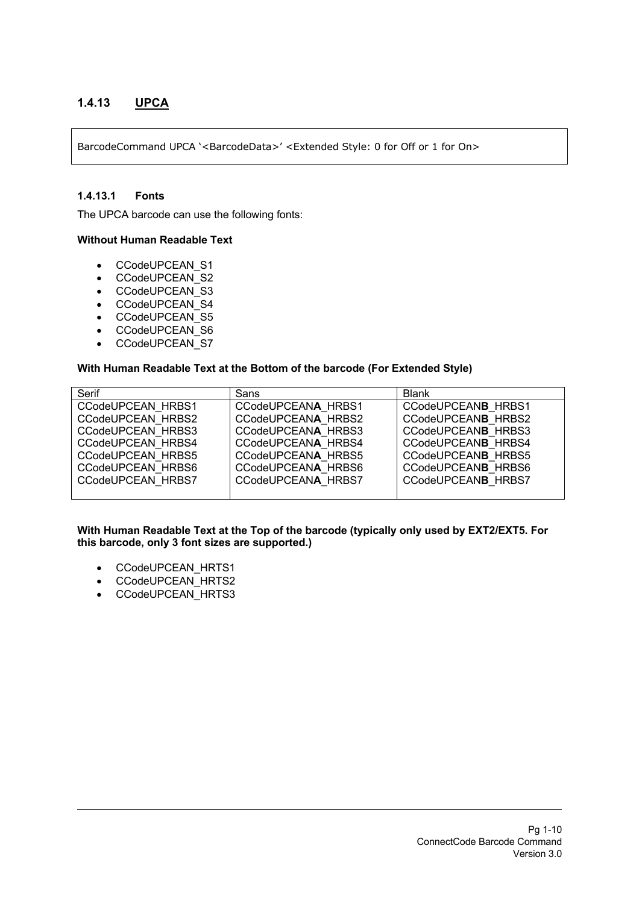## **1.4.13 UPCA**

BarcodeCommand UPCA '<BarcodeData>' <Extended Style: 0 for Off or 1 for On>

#### **1.4.13.1 Fonts**

The UPCA barcode can use the following fonts:

#### **Without Human Readable Text**

- CCodeUPCEAN\_S1
- CCodeUPCEAN\_S2
- CCodeUPCEAN\_S3
- CCodeUPCEAN\_S4
- CCodeUPCEAN\_S5
- CCodeUPCEAN\_S6
- CCodeUPCEAN\_S7

#### **With Human Readable Text at the Bottom of the barcode (For Extended Style)**

| Serif                    | Sans               | <b>Blank</b>              |
|--------------------------|--------------------|---------------------------|
| CCodeUPCEAN HRBS1        | CCodeUPCEANA HRBS1 | <b>CCodeUPCEANB HRBS1</b> |
| CCodeUPCEAN HRBS2        | CCodeUPCEANA HRBS2 | <b>CCodeUPCEANB HRBS2</b> |
| <b>CCodeUPCEAN HRBS3</b> | CCodeUPCEANA HRBS3 | CCodeUPCEANB HRBS3        |
| CCodeUPCEAN HRBS4        | CCodeUPCEANA HRBS4 | <b>CCodeUPCEANB HRBS4</b> |
| <b>CCodeUPCEAN HRBS5</b> | CCodeUPCEANA HRBS5 | CCodeUPCEANB HRBS5        |
| CCodeUPCEAN HRBS6        | CCodeUPCEANA HRBS6 | CCodeUPCEANB HRBS6        |
| <b>CCodeUPCEAN HRBS7</b> | CCodeUPCEANA HRBS7 | <b>CCodeUPCEANB HRBS7</b> |
|                          |                    |                           |

- CCodeUPCEAN\_HRTS1
- CCodeUPCEAN\_HRTS2
- CCodeUPCEAN\_HRTS3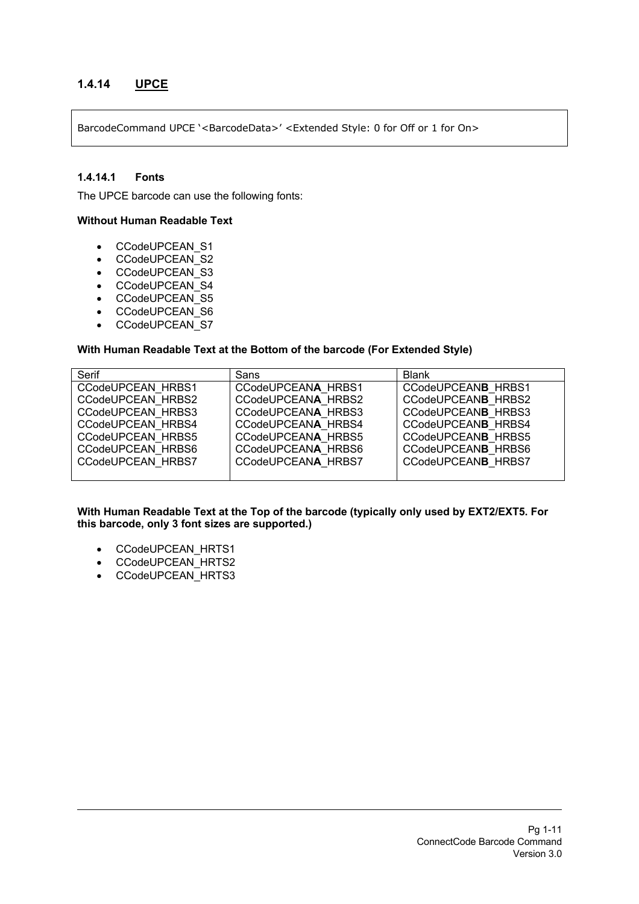## **1.4.14 UPCE**

BarcodeCommand UPCE '<BarcodeData>' <Extended Style: 0 for Off or 1 for On>

#### **1.4.14.1 Fonts**

The UPCE barcode can use the following fonts:

#### **Without Human Readable Text**

- CCodeUPCEAN\_S1
- CCodeUPCEAN\_S2
- CCodeUPCEAN\_S3
- CCodeUPCEAN\_S4
- CCodeUPCEAN\_S5
- CCodeUPCEAN\_S6
- CCodeUPCEAN\_S7

#### **With Human Readable Text at the Bottom of the barcode (For Extended Style)**

| Serif                    | Sans               | <b>Blank</b>              |
|--------------------------|--------------------|---------------------------|
| CCodeUPCEAN HRBS1        | CCodeUPCEANA HRBS1 | CCodeUPCEANB HRBS1        |
| CCodeUPCEAN HRBS2        | CCodeUPCEANA HRBS2 | CCodeUPCEANB HRBS2        |
| CCodeUPCEAN HRBS3        | CCodeUPCEANA HRBS3 | CCodeUPCEANB HRBS3        |
| CCodeUPCEAN HRBS4        | CCodeUPCEANA HRBS4 | CCodeUPCEANB HRBS4        |
| <b>CCodeUPCEAN HRBS5</b> | CCodeUPCEANA HRBS5 | CCodeUPCEANB HRBS5        |
| CCodeUPCEAN HRBS6        | CCodeUPCEANA HRBS6 | CCodeUPCEANB HRBS6        |
| <b>CCodeUPCEAN HRBS7</b> | CCodeUPCEANA HRBS7 | <b>CCodeUPCEANB HRBS7</b> |
|                          |                    |                           |

- CCodeUPCEAN\_HRTS1
- CCodeUPCEAN\_HRTS2
- CCodeUPCEAN\_HRTS3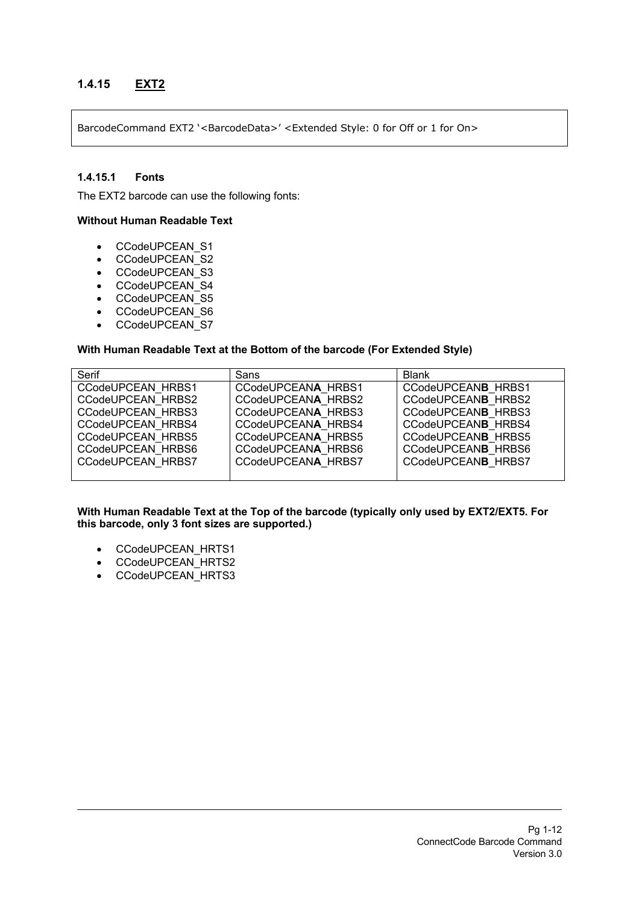## **1.4.15 EXT2**

BarcodeCommand EXT2 '<BarcodeData>' <Extended Style: 0 for Off or 1 for On>

#### **1.4.15.1 Fonts**

The EXT2 barcode can use the following fonts:

#### **Without Human Readable Text**

- CCodeUPCEAN\_S1
- CCodeUPCEAN\_S2
- CCodeUPCEAN\_S3
- CCodeUPCEAN\_S4
- CCodeUPCEAN\_S5
- CCodeUPCEAN\_S6
- CCodeUPCEAN\_S7

#### **With Human Readable Text at the Bottom of the barcode (For Extended Style)**

| Serif                    | Sans               | <b>Blank</b>              |
|--------------------------|--------------------|---------------------------|
| CCodeUPCEAN HRBS1        | CCodeUPCEANA HRBS1 | CCodeUPCEANB HRBS1        |
| CCodeUPCEAN HRBS2        | CCodeUPCEANA HRBS2 | CCodeUPCEANB HRBS2        |
| CCodeUPCEAN HRBS3        | CCodeUPCEANA HRBS3 | CCodeUPCEANB HRBS3        |
| CCodeUPCEAN HRBS4        | CCodeUPCEANA HRBS4 | CCodeUPCEANB HRBS4        |
| <b>CCodeUPCEAN HRBS5</b> | CCodeUPCEANA HRBS5 | CCodeUPCEANB HRBS5        |
| CCodeUPCEAN HRBS6        | CCodeUPCEANA HRBS6 | CCodeUPCEANB HRBS6        |
| <b>CCodeUPCEAN HRBS7</b> | CCodeUPCEANA HRBS7 | <b>CCodeUPCEANB HRBS7</b> |
|                          |                    |                           |

- CCodeUPCEAN\_HRTS1
- CCodeUPCEAN\_HRTS2
- CCodeUPCEAN\_HRTS3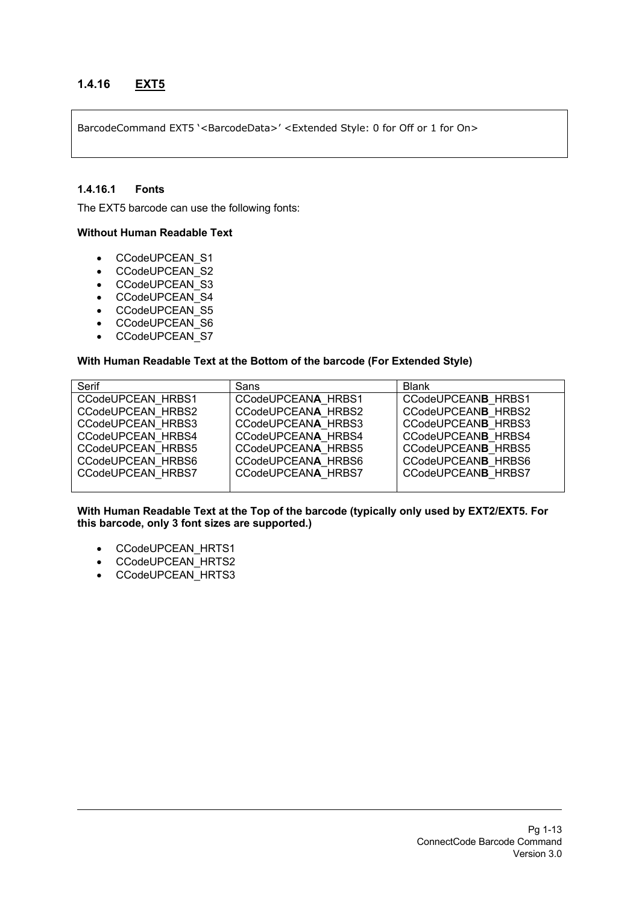## **1.4.16 EXT5**

BarcodeCommand EXT5 '<BarcodeData>' <Extended Style: 0 for Off or 1 for On>

#### **1.4.16.1 Fonts**

The EXT5 barcode can use the following fonts:

#### **Without Human Readable Text**

- CCodeUPCEAN\_S1
- CCodeUPCEAN\_S2
- CCodeUPCEAN\_S3
- CCodeUPCEAN\_S4
- CCodeUPCEAN\_S5
- CCodeUPCEAN\_S6
- CCodeUPCEAN\_S7

#### **With Human Readable Text at the Bottom of the barcode (For Extended Style)**

| Serif                    | Sans               | <b>Blank</b>       |
|--------------------------|--------------------|--------------------|
| CCodeUPCEAN HRBS1        | CCodeUPCEANA HRBS1 | CCodeUPCEANB HRBS1 |
| CCodeUPCEAN HRBS2        | CCodeUPCEANA HRBS2 | CCodeUPCEANB HRBS2 |
| CCodeUPCEAN HRBS3        | CCodeUPCEANA HRBS3 | CCodeUPCEANB HRBS3 |
| CCodeUPCEAN HRBS4        | CCodeUPCEANA HRBS4 | CCodeUPCEANB HRBS4 |
| <b>CCodeUPCEAN HRBS5</b> | CCodeUPCEANA HRBS5 | CCodeUPCEANB HRBS5 |
| CCodeUPCEAN HRBS6        | CCodeUPCEANA HRBS6 | CCodeUPCEANB HRBS6 |
| CCodeUPCEAN HRBS7        | CCodeUPCEANA HRBS7 | CCodeUPCEANB HRBS7 |
|                          |                    |                    |

- CCodeUPCEAN\_HRTS1
- CCodeUPCEAN\_HRTS2
- CCodeUPCEAN\_HRTS3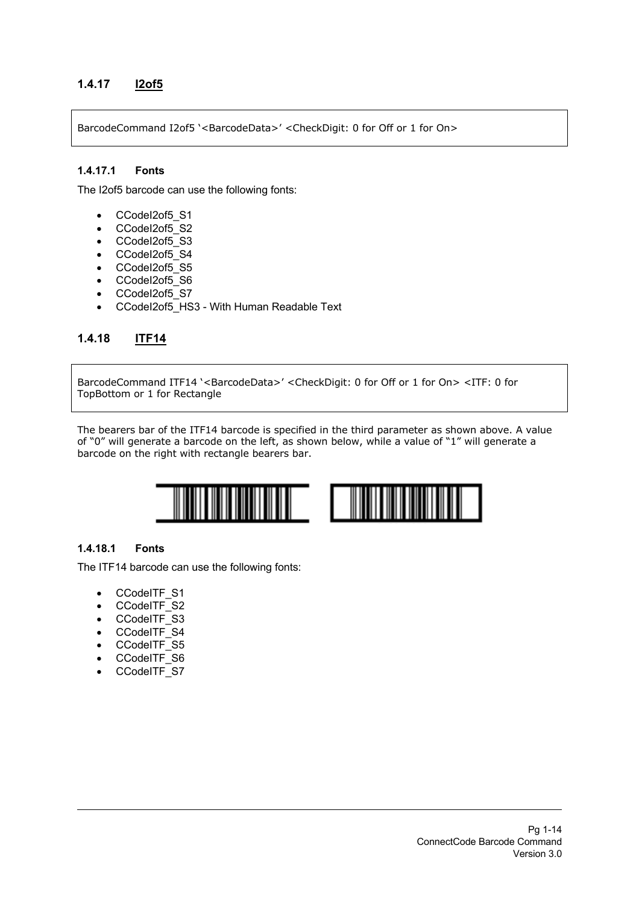## **1.4.17 I2of5**

BarcodeCommand I2of5 '<BarcodeData>' <CheckDigit: 0 for Off or 1 for On>

#### **1.4.17.1 Fonts**

The I2of5 barcode can use the following fonts:

- CCodeI2of5\_S1
- CCodeI2of5\_S2
- CCodel2of5\_S3
- CCodeI2of5\_S4
- CCodeI2of5\_S5
- CCodeI2of5\_S6
- CCodeI2of5\_S7
- CCodeI2of5\_HS3 With Human Readable Text

## **1.4.18 ITF14**

BarcodeCommand ITF14 '<BarcodeData>' <CheckDigit: 0 for Off or 1 for On> <ITF: 0 for TopBottom or 1 for Rectangle

The bearers bar of the ITF14 barcode is specified in the third parameter as shown above. A value of "0" will generate a barcode on the left, as shown below, while a value of "1" will generate a barcode on the right with rectangle bearers bar.



#### **1.4.18.1 Fonts**

The ITF14 barcode can use the following fonts:

- CCodeITF S1
- CCodeITF\_S2
- CCodeITF\_S3
- CCodeITF\_S4
- CCodeITF\_S5
- CCodeITF\_S6
- CCodeITF\_S7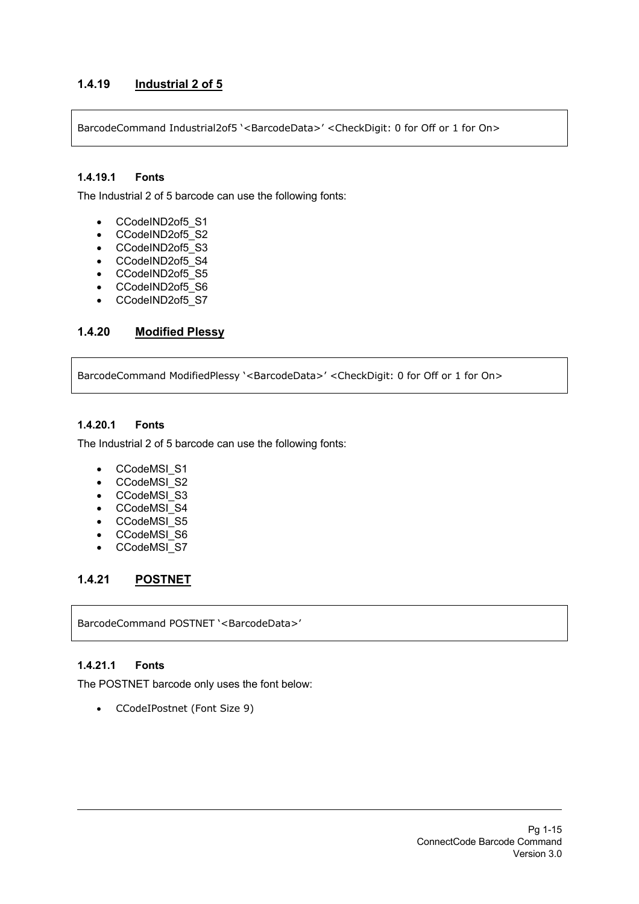## **1.4.19 Industrial 2 of 5**

BarcodeCommand Industrial2of5 '<BarcodeData>' <CheckDigit: 0 for Off or 1 for On>

#### **1.4.19.1 Fonts**

The Industrial 2 of 5 barcode can use the following fonts:

- CCodeIND2of5\_S1
- CCodeIND2of5\_S2
- CCodeIND2of5\_S3
- CCodeIND2of5\_S4
- CCodeIND2of5 S5
- CCodeIND2of5\_S6
- CCodeIND2of5\_S7

## **1.4.20 Modified Plessy**

BarcodeCommand ModifiedPlessy '<BarcodeData>' <CheckDigit: 0 for Off or 1 for On>

#### **1.4.20.1 Fonts**

The Industrial 2 of 5 barcode can use the following fonts:

- CCodeMSI<sub>S1</sub>
- CCodeMSI\_S2
- CCodeMSI\_S3
- CCodeMSI\_S4
- CCodeMSI\_S5
- CCodeMSI\_S6
- CCodeMSI\_S7

## **1.4.21 POSTNET**

BarcodeCommand POSTNET '<BarcodeData>'

#### **1.4.21.1 Fonts**

The POSTNET barcode only uses the font below:

• CCodeIPostnet (Font Size 9)